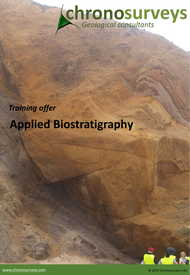

# *Training offer*  **Applied Biostratigraphy**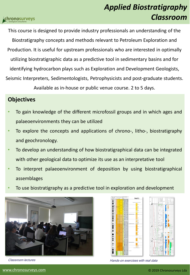This course is designed to provide industry professionals an understanding of the Biostratigraphy concepts and methods relevant to Petroleum Exploration and Production. It is useful for upstream professionals who are interested in optimally utilizing biostratigraphic data as a predictive tool in sedimentary basins and for identifying hydrocarbon plays such as Exploration and Development Geologists, Seismic Interpreters, Sedimentologists, Petrophysicists and post-graduate students.

Available as in-house or public venue course. 2 to 5 days.

## **Objectives**

- To gain knowledge of the different microfossil groups and in which ages and palaeoenvironments they can be utilized
- To explore the concepts and applications of chrono-, litho-, biostratigraphy and geochronology.
- To develop an understanding of how biostratigraphical data can be integrated with other geological data to optimize its use as an interpretative tool
- To interpret palaeoenvironment of deposition by using biostratigraphical assemblages
- To use biostratigraphy as a predictive tool in exploration and development





Classroom lectures Hands-on exercises with real data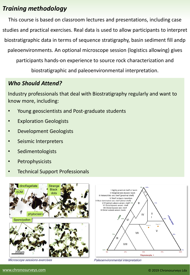# *Training methodology*

This course is based on classroom lectures and presentations, including case studies and practical exercises. Real data is used to allow participants to interpret biostratigraphic data in terms of sequence stratigraphy, basin sediment fill andp paleoenvironments. An optional microscope session (logistics allowing) gives participants hands-on experience to source rock characterization and

biostratigraphic and paleoenvironmental interpretation.

# *Who Should Attend?*

Industry professionals that deal with Biostratigraphy regularly and want to know more, including:

- Young geoscientists and Post-graduate students
- **Exploration Geologists**
- Development Geologists
- Seismic Interpreters
- **Sedimentologists**
- **Petrophysicists**
- Technical Support Professionals



Microscope sessions exercises



Paleoenvironmental interpretation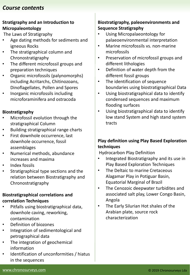## *Course contents*

#### **Stratigraphy and an Introduction to Micropaleontology**

The Laws of Stratigraphy

- Age dating methods for sediments and igneous Rocks
- The stratigraphical column and Chronostratigraphy
- The different microfossil groups and preparation techniques
- Organic microfossils (palynomorphs) including Acritarchs, Chitinozoans, Dinoflagellates, Pollen and Spores
- Inorganic microfossils including microforaminifera and ostracoda

#### **Biostratigraphy**

- Microfossil evolution through the stratigraphical Column
- Building stratigraphical range charts
- First downhole occurrence, last downhole occurrence, fossil assemblages
- Numerical methods, abundance increases and maxima
- Index fossils
- Stratigraphical type sections and the relation between Biostratigraphy and Chronostratigraphy

#### **Biostratigraphical correlations and correlation Techniques**

- Pitfalls using biostratigraphical data, downhole caving, reworking, contamination
- Definition of biozones
- Integration of sedimentological and petrographical data
- The integration of geochemical information
- Identification of unconformities / hiatus in the sequences

#### **Biostratigraphy, paleoenvironments and Sequence Stratigraphy**

- Using Micropalaeontology for palaeoenvironmental interpretation
- Marine microfossils vs. non-marine microfossils
- Preservation of microfossil groups and different lithologies
- Definition of water depth from the different fossil groups
- The identification of sequence boundaries using biostratigraphical Data
- Using biostratigraphical data to identify condensed sequences and maximum flooding surfaces
- Using biostratigraphical data to identify low stand System and high stand system tracts

#### **Play definition using Play Based Exploration techniques**

Hydrocarbon Play Definition

- Integrated Biostratigraphy and its use in Play Based Exploration Techniques
- The Deltaic to marine Cretaceous Alagamar Play in Potiguar Basin, Equatorial Marginal of Brazil
- The Cenozoic deepwater turbidites and associated salt play, Lower Congo Basin, Angola
- The Early Silurian Hot shales of the Arabian plate, source rock characterization